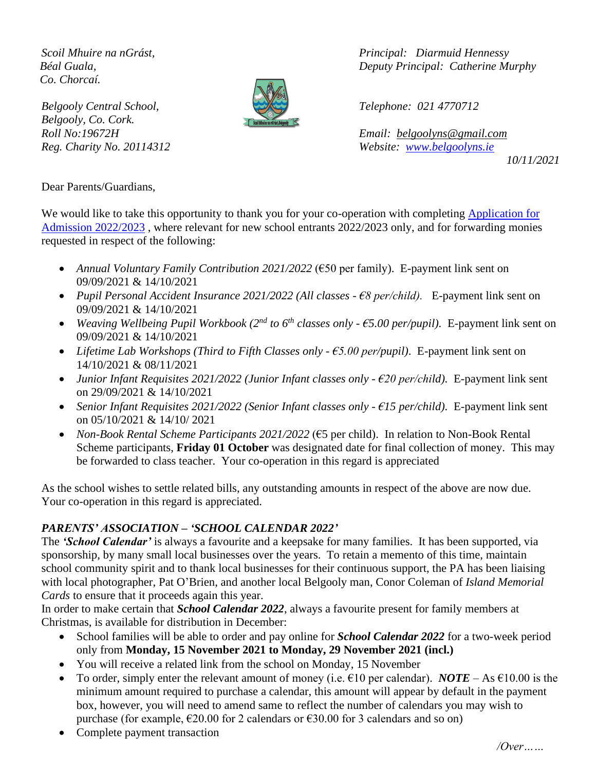*Co. Chorcaí.*

*Belgooly Central School, Telephone: 021 4770712 Belgooly, Co. Cork.*



*Scoil Mhuire na nGrást, Principal: Diarmuid Hennessy Béal Guala, Deputy Principal: Catherine Murphy*

*Roll No:19672H Email: [belgoolyns@gmail.com](mailto:belgoolyns@gmail.com) Reg. Charity No. 20114312 Website: [www.belgoolyns.ie](http://www.belgoolyns.ie/)* 

*10/11/2021*

Dear Parents/Guardians,

We would like to take this opportunity to thank you for your co-operation with completing Application for [Admission](http://www.belgoolyns.ie/online-application-form-2020-21) 2022/2023 , where relevant for new school entrants 2022/2023 only, and for forwarding monies requested in respect of the following:

- *Annual Voluntary Family Contribution 2021/2022* (€50 per family). E-payment link sent on 09/09/2021 & 14/10/2021
- *Pupil Personal Accident Insurance 2021/2022 (All classes - €8 per/child).* E-payment link sent on 09/09/2021 & 14/10/2021
- *Weaving Wellbeing Pupil Workbook (2nd to 6th classes only - €5.00 per/pupil).* E-payment link sent on 09/09/2021 & 14/10/2021
- *Lifetime Lab Workshops (Third to Fifth Classes only - €5.00 per/pupil)*. E-payment link sent on 14/10/2021 & 08/11/2021
- *Junior Infant Requisites 2021/2022 (Junior Infant classes only - €20 per/child).* E-payment link sent on 29/09/2021 & 14/10/2021
- *Senior Infant Requisites 2021/2022 (Senior Infant classes only - €15 per/child).* E-payment link sent on 05/10/2021 & 14/10/ 2021
- *Non-Book Rental Scheme Participants 2021/2022* (€5 per child). In relation to Non-Book Rental Scheme participants, **Friday 01 October** was designated date for final collection of money. This may be forwarded to class teacher. Your co-operation in this regard is appreciated

As the school wishes to settle related bills, any outstanding amounts in respect of the above are now due. Your co-operation in this regard is appreciated.

### *PARENTS' ASSOCIATION – 'SCHOOL CALENDAR 2022'*

The *'School Calendar'* is always a favourite and a keepsake for many families. It has been supported, via sponsorship, by many small local businesses over the years. To retain a memento of this time, maintain school community spirit and to thank local businesses for their continuous support, the PA has been liaising with local photographer, Pat O'Brien, and another local Belgooly man, Conor Coleman of *Island Memorial Cards* to ensure that it proceeds again this year.

In order to make certain that *School Calendar 2022*, always a favourite present for family members at Christmas, is available for distribution in December:

- School families will be able to order and pay online for *School Calendar 2022* for a two-week period only from **Monday, 15 November 2021 to Monday, 29 November 2021 (incl.)**
- You will receive a related link from the school on Monday, 15 November
- To order, simply enter the relevant amount of money (i.e.  $\epsilon$ 10 per calendar). *NOTE* As  $\epsilon$ 10.00 is the minimum amount required to purchase a calendar, this amount will appear by default in the payment box, however, you will need to amend same to reflect the number of calendars you may wish to purchase (for example,  $\epsilon$ 20.00 for 2 calendars or  $\epsilon$ 30.00 for 3 calendars and so on)
- Complete payment transaction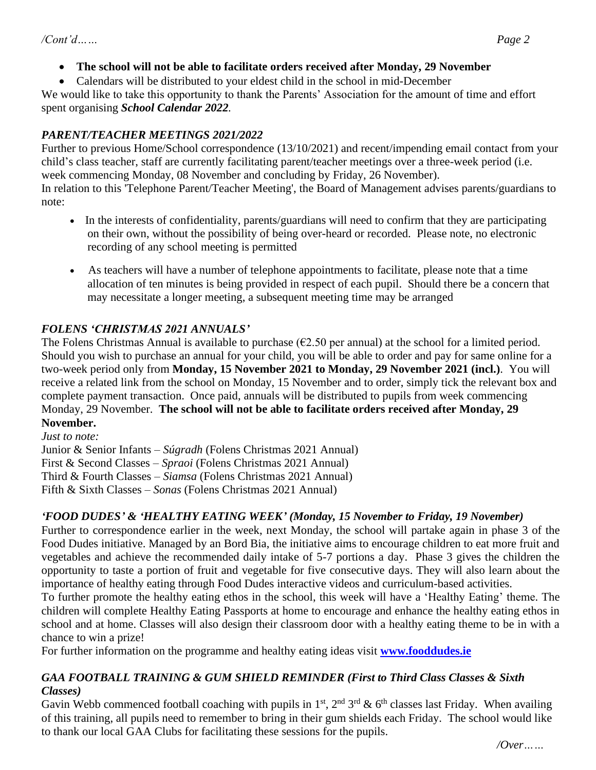- **The school will not be able to facilitate orders received after Monday, 29 November**
- Calendars will be distributed to your eldest child in the school in mid-December

We would like to take this opportunity to thank the Parents' Association for the amount of time and effort spent organising *School Calendar 2022.*

### *PARENT/TEACHER MEETINGS 2021/2022*

Further to previous Home/School correspondence (13/10/2021) and recent/impending email contact from your child's class teacher, staff are currently facilitating parent/teacher meetings over a three-week period (i.e. week commencing Monday, 08 November and concluding by Friday, 26 November).

In relation to this 'Telephone Parent/Teacher Meeting', the Board of Management advises parents/guardians to note:

- In the interests of confidentiality, parents/guardians will need to confirm that they are participating on their own, without the possibility of being over-heard or recorded. Please note, no electronic recording of any school meeting is permitted
- As teachers will have a number of telephone appointments to facilitate, please note that a time allocation of ten minutes is being provided in respect of each pupil. Should there be a concern that may necessitate a longer meeting, a subsequent meeting time may be arranged

# *FOLENS 'CHRISTMAS 2021 ANNUALS'*

The Folens Christmas Annual is available to purchase  $(\epsilon 2.50$  per annual) at the school for a limited period. Should you wish to purchase an annual for your child, you will be able to order and pay for same online for a two-week period only from **Monday, 15 November 2021 to Monday, 29 November 2021 (incl.)**. You will receive a related link from the school on Monday, 15 November and to order, simply tick the relevant box and complete payment transaction. Once paid, annuals will be distributed to pupils from week commencing Monday, 29 November. **The school will not be able to facilitate orders received after Monday, 29 November.**

*Just to note:* Junior & Senior Infants – *Súgradh* (Folens Christmas 2021 Annual) First & Second Classes – *Spraoi* (Folens Christmas 2021 Annual) Third & Fourth Classes – *Siamsa* (Folens Christmas 2021 Annual) Fifth & Sixth Classes – *Sonas* (Folens Christmas 2021 Annual)

# *'FOOD DUDES' & 'HEALTHY EATING WEEK' (Monday, 15 November to Friday, 19 November)*

Further to correspondence earlier in the week, next Monday, the school will partake again in phase 3 of the Food Dudes initiative. Managed by an Bord Bia, the initiative aims to encourage children to eat more fruit and vegetables and achieve the recommended daily intake of 5-7 portions a day. Phase 3 gives the children the opportunity to taste a portion of fruit and vegetable for five consecutive days. They will also learn about the importance of healthy eating through Food Dudes interactive videos and curriculum-based activities.

To further promote the healthy eating ethos in the school, this week will have a 'Healthy Eating' theme. The children will complete Healthy Eating Passports at home to encourage and enhance the healthy eating ethos in school and at home. Classes will also design their classroom door with a healthy eating theme to be in with a chance to win a prize!

For further information on the programme and healthy eating ideas visit **[www.fooddudes.ie](http://www.fooddudes.ie/)**

#### *GAA FOOTBALL TRAINING & GUM SHIELD REMINDER (First to Third Class Classes & Sixth Classes)*

Gavin Webb commenced football coaching with pupils in  $1<sup>st</sup>$ ,  $2<sup>nd</sup>$   $3<sup>rd</sup>$  & 6<sup>th</sup> classes last Friday. When availing of this training, all pupils need to remember to bring in their gum shields each Friday. The school would like to thank our local GAA Clubs for facilitating these sessions for the pupils.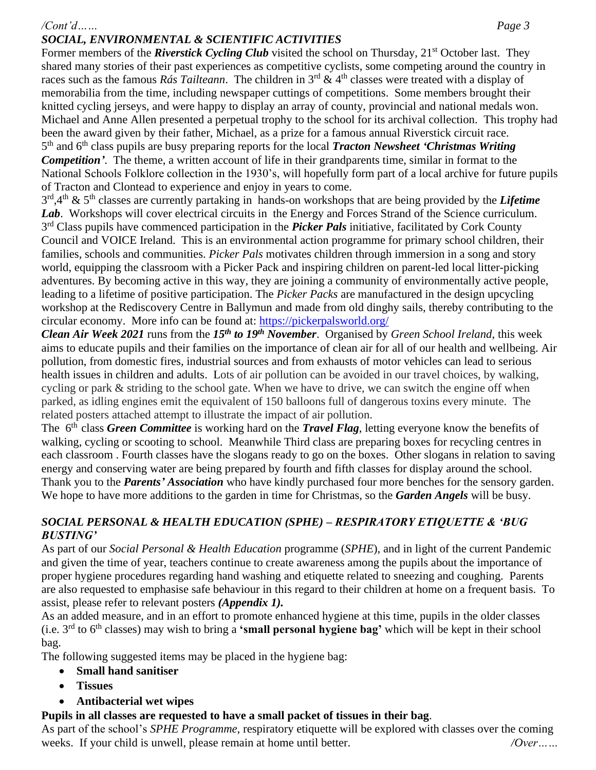#### */Cont'd…… Page 3 SOCIAL, ENVIRONMENTAL & SCIENTIFIC ACTIVITIES*

Former members of the *Riverstick Cycling Club* visited the school on Thursday, 21<sup>st</sup> October last. They shared many stories of their past experiences as competitive cyclists, some competing around the country in races such as the famous *Rás Tailteann*. The children in 3<sup>rd</sup> & 4<sup>th</sup> classes were treated with a display of memorabilia from the time, including newspaper cuttings of competitions. Some members brought their knitted cycling jerseys, and were happy to display an array of county, provincial and national medals won. Michael and Anne Allen presented a perpetual trophy to the school for its archival collection. This trophy had been the award given by their father, Michael, as a prize for a famous annual Riverstick circuit race. 5<sup>th</sup> and 6<sup>th</sup> class pupils are busy preparing reports for the local *Tracton Newsheet 'Christmas Writing Competition'*. The theme, a written account of life in their grandparents time, similar in format to the National Schools Folklore collection in the 1930's, will hopefully form part of a local archive for future pupils of Tracton and Clontead to experience and enjoy in years to come.

3 rd ,4 th & 5th classes are currently partaking in hands-on workshops that are being provided by the *Lifetime*  Lab. Workshops will cover electrical circuits in the Energy and Forces Strand of the Science curriculum. 3<sup>rd</sup> Class pupils have commenced participation in the *Picker Pals* initiative, facilitated by Cork County Council and VOICE Ireland. This is an environmental action programme for primary school children, their families, schools and communities. *Picker Pals* motivates children through immersion in a song and story world, equipping the classroom with a Picker Pack and inspiring children on parent-led local litter-picking adventures. By becoming active in this way, they are joining a community of environmentally active people, leading to a lifetime of positive participation. The *Picker Packs* are manufactured in the design upcycling workshop at the Rediscovery Centre in Ballymun and made from old dinghy sails, thereby contributing to the circular economy. More info can be found at:<https://pickerpalsworld.org/>

*Clean Air Week 2021* runs from the *15th to 19th November*. Organised by *Green School Ireland*, this week aims to educate pupils and their families on the importance of clean air for all of our health and wellbeing. Air pollution, from domestic fires, industrial sources and from exhausts of motor vehicles can lead to serious health issues in children and adults. Lots of air pollution can be avoided in our travel choices, by walking, cycling or park & striding to the school gate. When we have to drive, we can switch the engine off when parked, as idling engines emit the equivalent of 150 balloons full of dangerous toxins every minute. The related posters attached attempt to illustrate the impact of air pollution.

The 6<sup>th</sup> class *Green Committee* is working hard on the *Travel Flag*, letting everyone know the benefits of walking, cycling or scooting to school. Meanwhile Third class are preparing boxes for recycling centres in each classroom . Fourth classes have the slogans ready to go on the boxes. Other slogans in relation to saving energy and conserving water are being prepared by fourth and fifth classes for display around the school. Thank you to the *Parents' Association* who have kindly purchased four more benches for the sensory garden. We hope to have more additions to the garden in time for Christmas, so the *Garden Angels* will be busy.

#### *SOCIAL PERSONAL & HEALTH EDUCATION (SPHE) – RESPIRATORY ETIQUETTE & 'BUG BUSTING'*

As part of our *Social Personal & Health Education* programme (*SPHE*), and in light of the current Pandemic and given the time of year, teachers continue to create awareness among the pupils about the importance of proper hygiene procedures regarding hand washing and etiquette related to sneezing and coughing*.* Parents are also requested to emphasise safe behaviour in this regard to their children at home on a frequent basis. To assist, please refer to relevant posters *(Appendix 1).*

As an added measure, and in an effort to promote enhanced hygiene at this time, pupils in the older classes (i.e. 3rd to 6th classes) may wish to bring a **'small personal hygiene bag'** which will be kept in their school bag.

The following suggested items may be placed in the hygiene bag:

- **Small hand sanitiser**
- **Tissues**
- **Antibacterial wet wipes**

# **Pupils in all classes are requested to have a small packet of tissues in their bag**.

As part of the school's *SPHE Programme*, respiratory etiquette will be explored with classes over the coming weeks. If your child is unwell, please remain at home until better. *<i>Over*……